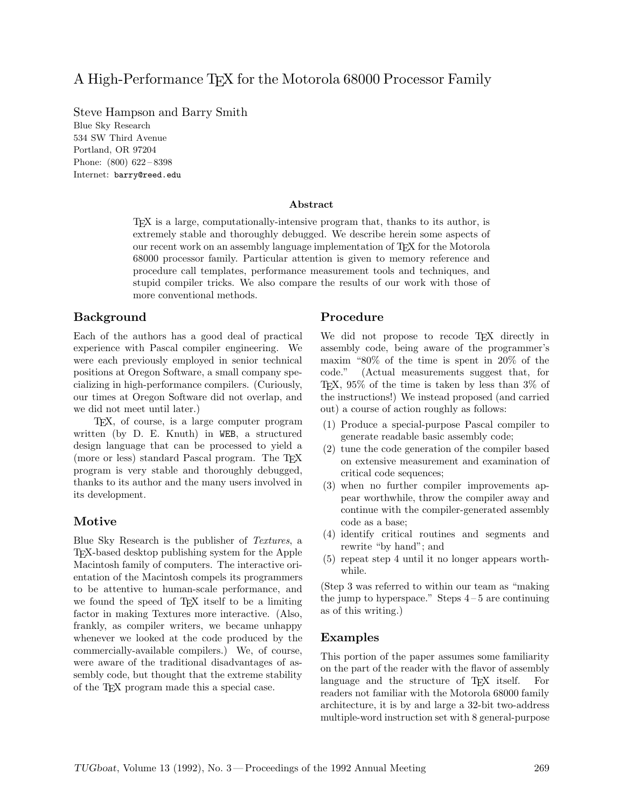## A High-Performance T<sub>F</sub>X for the Motorola 68000 Processor Family

Steve Hampson and Barry Smith Blue Sky Research 534 SW Third Avenue Portland, OR 97204 Phone: (800) 622 – 8398 Internet: barry@reed.edu

#### **Abstract**

TEX is a large, computationally-intensive program that, thanks to its author, is extremely stable and thoroughly debugged. We describe herein some aspects of our recent work on an assembly language implementation of TEX for the Motorola 68000 processor family. Particular attention is given to memory reference and procedure call templates, performance measurement tools and techniques, and stupid compiler tricks. We also compare the results of our work with those of more conventional methods.

#### **Background**

Each of the authors has a good deal of practical experience with Pascal compiler engineering. We were each previously employed in senior technical positions at Oregon Software, a small company specializing in high-performance compilers. (Curiously, our times at Oregon Software did not overlap, and we did not meet until later.)

TEX, of course, is a large computer program written (by D. E. Knuth) in WEB, a structured design language that can be processed to yield a (more or less) standard Pascal program. The TEX program is very stable and thoroughly debugged, thanks to its author and the many users involved in its development.

#### **Motive**

Blue Sky Research is the publisher of *Textures*, a TEX-based desktop publishing system for the Apple Macintosh family of computers. The interactive orientation of the Macintosh compels its programmers to be attentive to human-scale performance, and we found the speed of TEX itself to be a limiting factor in making Textures more interactive. (Also, frankly, as compiler writers, we became unhappy whenever we looked at the code produced by the commercially-available compilers.) We, of course, were aware of the traditional disadvantages of assembly code, but thought that the extreme stability of the TEX program made this a special case.

#### **Procedure**

We did not propose to recode T<sub>E</sub>X directly in assembly code, being aware of the programmer's maxim "80% of the time is spent in 20% of the code." (Actual measurements suggest that, for TEX, 95% of the time is taken by less than 3% of the instructions!) We instead proposed (and carried out) a course of action roughly as follows:

- (1) Produce a special-purpose Pascal compiler to generate readable basic assembly code;
- (2) tune the code generation of the compiler based on extensive measurement and examination of critical code sequences;
- (3) when no further compiler improvements appear worthwhile, throw the compiler away and continue with the compiler-generated assembly code as a base;
- (4) identify critical routines and segments and rewrite "by hand"; and
- (5) repeat step 4 until it no longer appears worthwhile.

(Step 3 was referred to within our team as "making the jump to hyperspace." Steps  $4-5$  are continuing as of this writing.)

#### **Examples**

This portion of the paper assumes some familiarity on the part of the reader with the flavor of assembly language and the structure of T<sub>EX</sub> itself. For readers not familiar with the Motorola 68000 family architecture, it is by and large a 32-bit two-address multiple-word instruction set with 8 general-purpose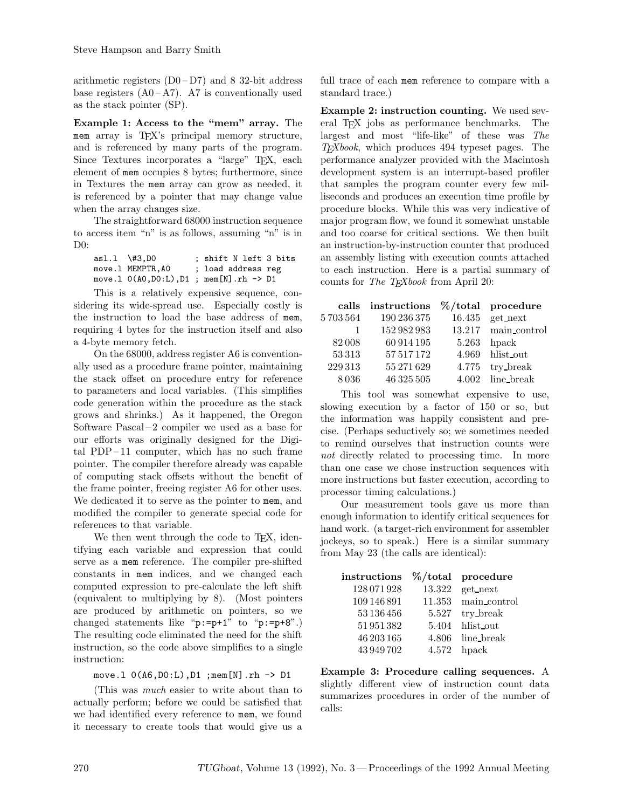arithmetic registers  $(D0-D7)$  and 8 32-bit address base registers  $(A0 - A7)$ . A7 is conventionally used as the stack pointer (SP).

**Example 1: Access to the "mem" array.** The mem array is TEX's principal memory structure, and is referenced by many parts of the program. Since Textures incorporates a "large" T<sub>E</sub>X, each element of mem occupies 8 bytes; furthermore, since in Textures the mem array can grow as needed, it is referenced by a pointer that may change value when the array changes size.

The straightforward 68000 instruction sequence to access item "n" is as follows, assuming "n" is in  $Do^{\circ}$ 

asl.l \#3,D0 ; shift N left 3 bits<br>move.l MEMPTR.A0 ; load address reg ; load address reg move.l 0(A0,D0:L),D1 ; mem[N].rh -> D1

This is a relatively expensive sequence, considering its wide-spread use. Especially costly is the instruction to load the base address of mem, requiring 4 bytes for the instruction itself and also a 4-byte memory fetch.

On the 68000, address register A6 is conventionally used as a procedure frame pointer, maintaining the stack offset on procedure entry for reference to parameters and local variables. (This simplifies code generation within the procedure as the stack grows and shrinks.) As it happened, the Oregon Software Pascal – 2 compiler we used as a base for our efforts was originally designed for the Digital PDP – 11 computer, which has no such frame pointer. The compiler therefore already was capable of computing stack offsets without the benefit of the frame pointer, freeing register A6 for other uses. We dedicated it to serve as the pointer to mem, and modified the compiler to generate special code for references to that variable.

We then went through the code to TEX, identifying each variable and expression that could serve as a mem reference. The compiler pre-shifted constants in mem indices, and we changed each computed expression to pre-calculate the left shift (equivalent to multiplying by 8). (Most pointers are produced by arithmetic on pointers, so we changed statements like " $p:=p+1$ " to " $p:=p+8$ ".) The resulting code eliminated the need for the shift instruction, so the code above simplifies to a single instruction:

#### move.l 0(A6,D0:L),D1 ;mem[N].rh -> D1

(This was *much* easier to write about than to actually perform; before we could be satisfied that we had identified every reference to mem, we found it necessary to create tools that would give us a full trace of each mem reference to compare with a standard trace.)

**Example 2: instruction counting.** We used several TEX jobs as performance benchmarks. The largest and most "life-like" of these was *The TEXbook*, which produces 494 typeset pages. The performance analyzer provided with the Macintosh development system is an interrupt-based profiler that samples the program counter every few milliseconds and produces an execution time profile by procedure blocks. While this was very indicative of major program flow, we found it somewhat unstable and too coarse for critical sections. We then built an instruction-by-instruction counter that produced an assembly listing with execution counts attached to each instruction. Here is a partial summary of counts for *The TEXbook* from April 20:

|         | calls instructions | $\%$ /total procedure |
|---------|--------------------|-----------------------|
| 5703564 | 190 236 375        | $16.435$ get_next     |
|         | 152 982 983        | 13.217 main_control   |
| 82008   | 60 914 195         | $5.263$ hpack         |
| 53 313  | 57 517 172         | 4.969 hlist out       |
| 229313  | 55 271 629         | 4.775 try_break       |
| 8036    | $46\,325\,505$     | 4.002 line_break      |

This tool was somewhat expensive to use, slowing execution by a factor of 150 or so, but the information was happily consistent and precise. (Perhaps seductively so; we sometimes needed to remind ourselves that instruction counts were *not* directly related to processing time. In more than one case we chose instruction sequences with more instructions but faster execution, according to processor timing calculations.)

Our measurement tools gave us more than enough information to identify critical sequences for hand work. (a target-rich environment for assembler jockeys, so to speak.) Here is a similar summary from May 23 (the calls are identical):

| instructions |        | $\%$ /total procedure |
|--------------|--------|-----------------------|
| 128 071 928  | 13.322 | get_next              |
| 109 146 891  |        | 11.353 main_control   |
| 53 136 456   |        | 5.527 try_break       |
| 51951382     |        | 5.404 hlist_out       |
| 46 203 165   |        | 4.806 line_break      |
| 43 949 702   |        | $4.572$ hpack         |

**Example 3: Procedure calling sequences.** A slightly different view of instruction count data summarizes procedures in order of the number of calls: